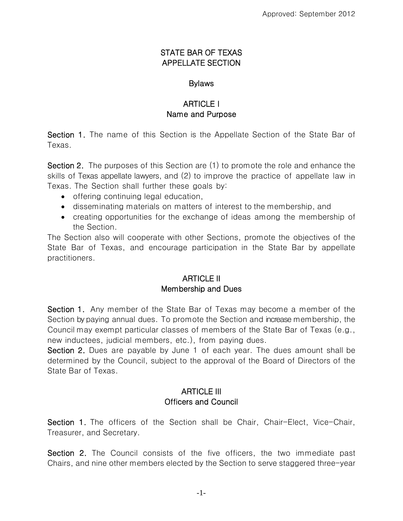#### STATE BAR OF TEXAS APPELLATE SECTION

#### **Bylaws**

## ARTICLE I Name and Purpose

Section 1. The name of this Section is the Appellate Section of the State Bar of Texas.

Section 2. The purposes of this Section are (1) to promote the role and enhance the skills of Texas appellate lawyers, and (2) to improve the practice of appellate law in Texas. The Section shall further these goals by:

- offering continuing legal education,
- disseminating materials on matters of interest to the membership, and
- creating opportunities for the exchange of ideas among the membership of the Section.

The Section also will cooperate with other Sections, promote the objectives of the State Bar of Texas, and encourage participation in the State Bar by appellate practitioners.

#### ARTICLE II Membership and Dues

Section 1. Any member of the State Bar of Texas may become a member of the Section by paying annual dues. To promote the Section and increase membership, the Council may exempt particular classes of members of the State Bar of Texas (e.g., new inductees, judicial members, etc.), from paying dues.

Section 2. Dues are payable by June 1 of each year. The dues amount shall be determined by the Council, subject to the approval of the Board of Directors of the State Bar of Texas.

### ARTICLE III Officers and Council

Section 1. The officers of the Section shall be Chair, Chair-Elect, Vice-Chair, Treasurer, and Secretary.

Section 2. The Council consists of the five officers, the two immediate past Chairs, and nine other members elected by the Section to serve staggered three-year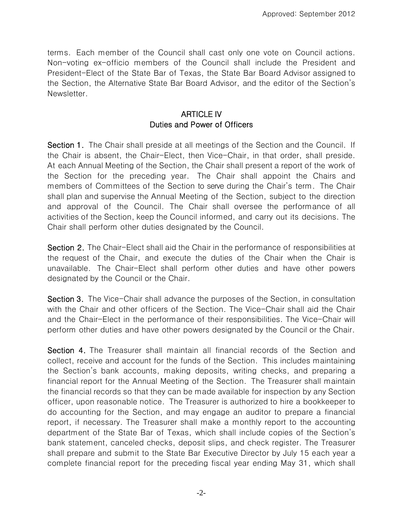terms. Each member of the Council shall cast only one vote on Council actions. Non-voting ex-officio members of the Council shall include the President and President-Elect of the State Bar of Texas, the State Bar Board Advisor assigned to the Section, the Alternative State Bar Board Advisor, and the editor of the Section's Newsletter.

### ARTICLE IV Duties and Power of Officers

Section 1. The Chair shall preside at all meetings of the Section and the Council. If the Chair is absent, the Chair-Elect, then Vice-Chair, in that order, shall preside. At each Annual Meeting of the Section, the Chair shall present a report of the work of the Section for the preceding year. The Chair shall appoint the Chairs and members of Committees of the Section to serve during the Chair's term. The Chair shall plan and supervise the Annual Meeting of the Section, subject to the direction and approval of the Council. The Chair shall oversee the performance of all activities of the Section, keep the Council informed, and carry out its decisions. The Chair shall perform other duties designated by the Council.

Section 2. The Chair-Elect shall aid the Chair in the performance of responsibilities at the request of the Chair, and execute the duties of the Chair when the Chair is unavailable. The Chair-Elect shall perform other duties and have other powers designated by the Council or the Chair.

Section 3. The Vice-Chair shall advance the purposes of the Section, in consultation with the Chair and other officers of the Section. The Vice-Chair shall aid the Chair and the Chair-Elect in the performance of their responsibilities. The Vice-Chair will perform other duties and have other powers designated by the Council or the Chair.

Section 4. The Treasurer shall maintain all financial records of the Section and collect, receive and account for the funds of the Section. This includes maintaining the Section's bank accounts, making deposits, writing checks, and preparing a financial report for the Annual Meeting of the Section. The Treasurer shall maintain the financial records so that they can be made available for inspection by any Section officer, upon reasonable notice. The Treasurer is authorized to hire a bookkeeper to do accounting for the Section, and may engage an auditor to prepare a financial report, if necessary. The Treasurer shall make a monthly report to the accounting department of the State Bar of Texas, which shall include copies of the Section's bank statement, canceled checks, deposit slips, and check register. The Treasurer shall prepare and submit to the State Bar Executive Director by July 15 each year a complete financial report for the preceding fiscal year ending May 31, which shall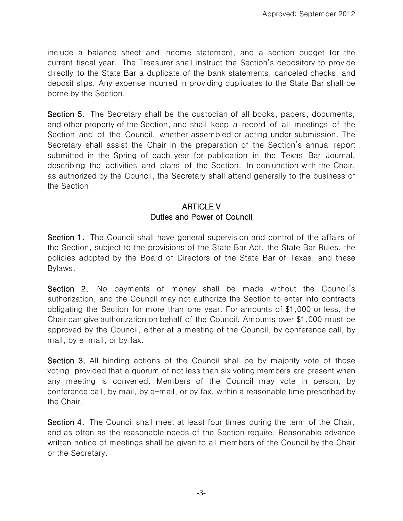include a balance sheet and income statement, and a section budget for the current fiscal year. The Treasurer shall instruct the Section's depository to provide directly to the State Bar a duplicate of the bank statements, canceled checks, and deposit slips. Any expense incurred in providing duplicates to the State Bar shall be borne by the Section.

Section 5. The Secretary shall be the custodian of all books, papers, documents, and other property of the Section, and shall keep a record of all meetings of the Section and of the Council, whether assembled or acting under submission. The Secretary shall assist the Chair in the preparation of the Section's annual report submitted in the Spring of each year for publication in the Texas Bar Journal, describing the activities and plans of the Section. In conjunction with the Chair, as authorized by the Council, the Secretary shall attend generally to the business of the Section.

# ARTICLE V Duties and Power of Council

Section 1. The Council shall have general supervision and control of the affairs of the Section, subject to the provisions of the State Bar Act, the State Bar Rules, the policies adopted by the Board of Directors of the State Bar of Texas, and these Bylaws.

Section 2. No payments of money shall be made without the Council's authorization, and the Council may not authorize the Section to enter into contracts obligating the Section for more than one year. For amounts of \$1,000 or less, the Chair can give authorization on behalf of the Council. Amounts over \$1,000 must be approved by the Council, either at a meeting of the Council, by conference call, by mail, by e-mail, or by fax.

Section 3. All binding actions of the Council shall be by majority vote of those voting, provided that a quorum of not less than six voting members are present when any meeting is convened. Members of the Council may vote in person, by conference call, by mail, by e-mail, or by fax, within a reasonable time prescribed by the Chair.

Section 4. The Council shall meet at least four times during the term of the Chair, and as often as the reasonable needs of the Section require. Reasonable advance written notice of meetings shall be given to all members of the Council by the Chair or the Secretary.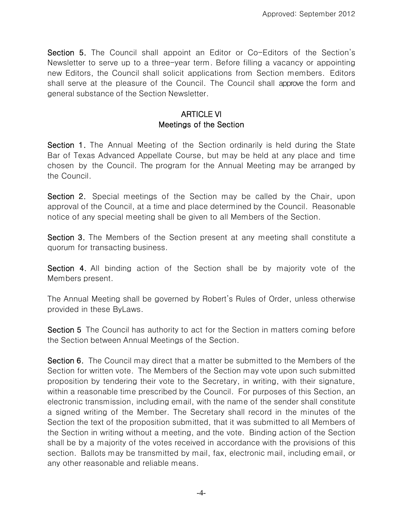Section 5. The Council shall appoint an Editor or Co-Editors of the Section's Newsletter to serve up to a three-year term. Before filling a vacancy or appointing new Editors, the Council shall solicit applications from Section members. Editors shall serve at the pleasure of the Council. The Council shall approve the form and general substance of the Section Newsletter.

### ARTICLE VI Meetings of the Section

Section 1. The Annual Meeting of the Section ordinarily is held during the State Bar of Texas Advanced Appellate Course, but may be held at any place and time chosen by the Council. The program for the Annual Meeting may be arranged by the Council.

Section 2. Special meetings of the Section may be called by the Chair, upon approval of the Council, at a time and place determined by the Council. Reasonable notice of any special meeting shall be given to all Members of the Section.

Section 3. The Members of the Section present at any meeting shall constitute a quorum for transacting business.

Section 4. All binding action of the Section shall be by majority vote of the Members present.

The Annual Meeting shall be governed by Robert's Rules of Order, unless otherwise provided in these ByLaws.

Section 5 The Council has authority to act for the Section in matters coming before the Section between Annual Meetings of the Section.

Section 6. The Council may direct that a matter be submitted to the Members of the Section for written vote. The Members of the Section may vote upon such submitted proposition by tendering their vote to the Secretary, in writing, with their signature, within a reasonable time prescribed by the Council. For purposes of this Section, an electronic transmission, including email, with the name of the sender shall constitute a signed writing of the Member. The Secretary shall record in the minutes of the Section the text of the proposition submitted, that it was submitted to all Members of the Section in writing without a meeting, and the vote. Binding action of the Section shall be by a majority of the votes received in accordance with the provisions of this section. Ballots may be transmitted by mail, fax, electronic mail, including email, or any other reasonable and reliable means.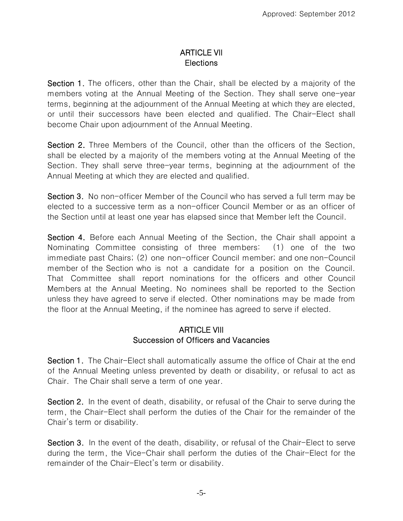### ARTICLE VII Elections

Section 1. The officers, other than the Chair, shall be elected by a majority of the members voting at the Annual Meeting of the Section. They shall serve one-year terms, beginning at the adjournment of the Annual Meeting at which they are elected, or until their successors have been elected and qualified. The Chair-Elect shall become Chair upon adjournment of the Annual Meeting.

Section 2. Three Members of the Council, other than the officers of the Section, shall be elected by a majority of the members voting at the Annual Meeting of the Section. They shall serve three-year terms, beginning at the adjournment of the Annual Meeting at which they are elected and qualified.

Section 3. No non-officer Member of the Council who has served a full term may be elected to a successive term as a non-officer Council Member or as an officer of the Section until at least one year has elapsed since that Member left the Council.

Section 4. Before each Annual Meeting of the Section, the Chair shall appoint a Nominating Committee consisting of three members: (1) one of the two immediate past Chairs; (2) one non-officer Council member; and one non-Council member of the Section who is not a candidate for a position on the Council. That Committee shall report nominations for the officers and other Council Members at the Annual Meeting. No nominees shall be reported to the Section unless they have agreed to serve if elected. Other nominations may be made from the floor at the Annual Meeting, if the nominee has agreed to serve if elected.

#### ARTICLE VIII Succession of Officers and Vacancies

Section 1. The Chair-Elect shall automatically assume the office of Chair at the end of the Annual Meeting unless prevented by death or disability, or refusal to act as Chair. The Chair shall serve a term of one year.

Section 2. In the event of death, disability, or refusal of the Chair to serve during the term, the Chair-Elect shall perform the duties of the Chair for the remainder of the Chair's term or disability.

Section 3. In the event of the death, disability, or refusal of the Chair-Elect to serve during the term, the Vice-Chair shall perform the duties of the Chair-Elect for the remainder of the Chair-Elect's term or disability.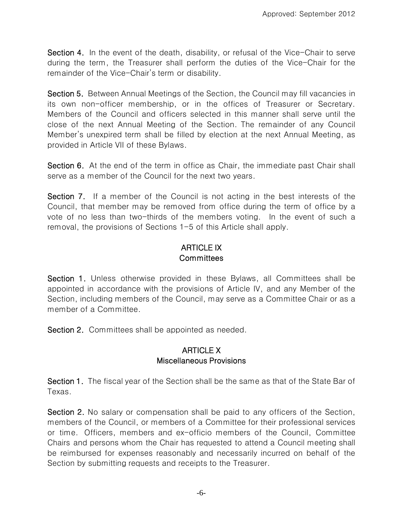Section 4. In the event of the death, disability, or refusal of the Vice-Chair to serve during the term, the Treasurer shall perform the duties of the Vice-Chair for the remainder of the Vice-Chair's term or disability.

Section 5. Between Annual Meetings of the Section, the Council may fill vacancies in its own non-officer membership, or in the offices of Treasurer or Secretary. Members of the Council and officers selected in this manner shall serve until the close of the next Annual Meeting of the Section. The remainder of any Council Member's unexpired term shall be filled by election at the next Annual Meeting, as provided in Article VII of these Bylaws.

Section 6. At the end of the term in office as Chair, the immediate past Chair shall serve as a member of the Council for the next two years.

Section 7. If a member of the Council is not acting in the best interests of the Council, that member may be removed from office during the term of office by a vote of no less than two-thirds of the members voting. In the event of such a removal, the provisions of Sections 1-5 of this Article shall apply.

## ARTICLE IX **Committees**

Section 1. Unless otherwise provided in these Bylaws, all Committees shall be appointed in accordance with the provisions of Article IV, and any Member of the Section, including members of the Council, may serve as a Committee Chair or as a member of a Committee.

Section 2. Committees shall be appointed as needed.

#### ARTICLE X Miscellaneous Provisions

Section 1. The fiscal year of the Section shall be the same as that of the State Bar of Texas.

Section 2. No salary or compensation shall be paid to any officers of the Section, members of the Council, or members of a Committee for their professional services or time. Officers, members and ex-officio members of the Council, Committee Chairs and persons whom the Chair has requested to attend a Council meeting shall be reimbursed for expenses reasonably and necessarily incurred on behalf of the Section by submitting requests and receipts to the Treasurer.